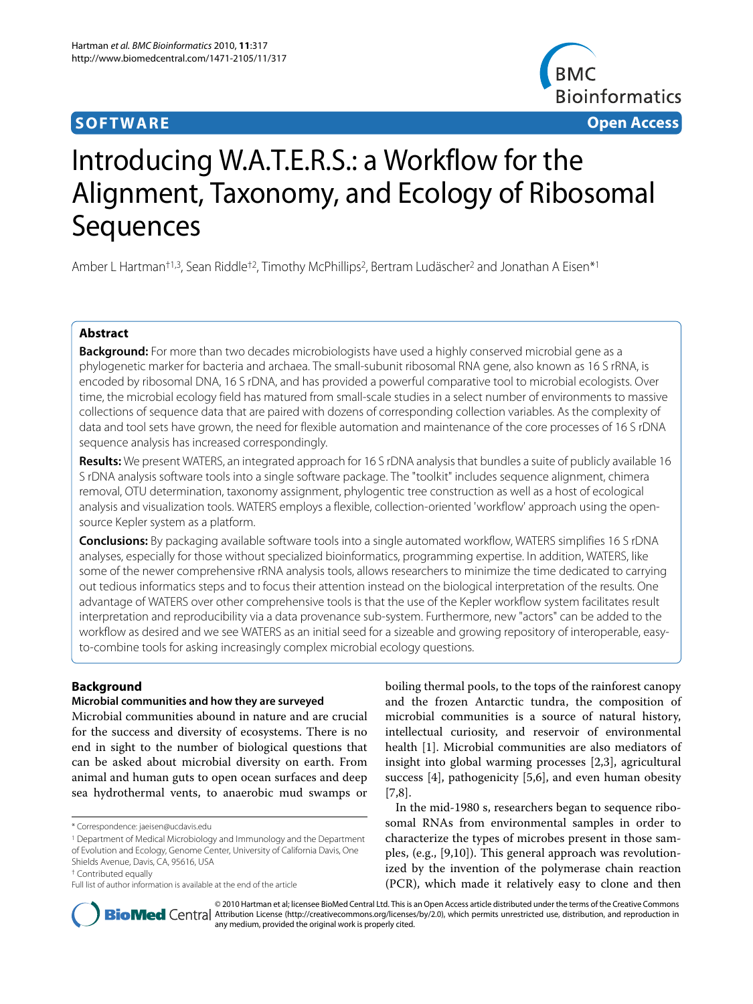

# Introducing W.A.T.E.R.S.: a Workflow for the Alignment, Taxonomy, and Ecology of Ribosomal Sequences

Amber L Hartman<sup>†1,3</sup>, Sean Riddle<sup>†2</sup>, Timothy McPhillips<sup>2</sup>, Bertram Ludäscher<sup>2</sup> and Jonathan A Eisen\*<sup>1</sup>

# **Abstract**

**Background:** For more than two decades microbiologists have used a highly conserved microbial gene as a phylogenetic marker for bacteria and archaea. The small-subunit ribosomal RNA gene, also known as 16 S rRNA, is encoded by ribosomal DNA, 16 S rDNA, and has provided a powerful comparative tool to microbial ecologists. Over time, the microbial ecology field has matured from small-scale studies in a select number of environments to massive collections of sequence data that are paired with dozens of corresponding collection variables. As the complexity of data and tool sets have grown, the need for flexible automation and maintenance of the core processes of 16 S rDNA sequence analysis has increased correspondingly.

**Results:** We present WATERS, an integrated approach for 16 S rDNA analysis that bundles a suite of publicly available 16 S rDNA analysis software tools into a single software package. The "toolkit" includes sequence alignment, chimera removal, OTU determination, taxonomy assignment, phylogentic tree construction as well as a host of ecological analysis and visualization tools. WATERS employs a flexible, collection-oriented 'workflow' approach using the opensource Kepler system as a platform.

**Conclusions:** By packaging available software tools into a single automated workflow, WATERS simplifies 16 S rDNA analyses, especially for those without specialized bioinformatics, programming expertise. In addition, WATERS, like some of the newer comprehensive rRNA analysis tools, allows researchers to minimize the time dedicated to carrying out tedious informatics steps and to focus their attention instead on the biological interpretation of the results. One advantage of WATERS over other comprehensive tools is that the use of the Kepler workflow system facilitates result interpretation and reproducibility via a data provenance sub-system. Furthermore, new "actors" can be added to the workflow as desired and we see WATERS as an initial seed for a sizeable and growing repository of interoperable, easyto-combine tools for asking increasingly complex microbial ecology questions.

# **Background**

# **Microbial communities and how they are surveyed**

Microbial communities abound in nature and are crucial for the success and diversity of ecosystems. There is no end in sight to the number of biological questions that can be asked about microbial diversity on earth. From animal and human guts to open ocean surfaces and deep sea hydrothermal vents, to anaerobic mud swamps or

Shields Avenue, Davis, CA, 95616, USA

boiling thermal pools, to the tops of the rainforest canopy and the frozen Antarctic tundra, the composition of microbial communities is a source of natural history, intellectual curiosity, and reservoir of environmental health [1]. Microbial communities are also mediators of insight into global warming processes [2,3], agricultural success [4], pathogenicity [5,6], and even human obesity [7,8].

In the mid-1980 s, researchers began to sequence ribosomal RNAs from environmental samples in order to characterize the types of microbes present in those samples, (e.g., [9,10]). This general approach was revolutionized by the invention of the polymerase chain reaction (PCR), which made it relatively easy to clone and then



© 2010 Hartman et al; licensee BioMed Central Ltd. This is an Open Access article distributed under the terms of the Creative Commons **Bio Med Centra** Attribution License (http://creativecommons.org/licenses/by/2.0), which permits unrestricted use, distribution, and reproduction in any medium, provided the original work is properly cited.

<sup>\*</sup> Correspondence: jaeisen@ucdavis.edu

<sup>1</sup> Department of Medical Microbiology and Immunology and the Department of Evolution and Ecology, Genome Center, University of California Davis, One

<sup>†</sup> Contributed equally

Full list of author information is available at the end of the article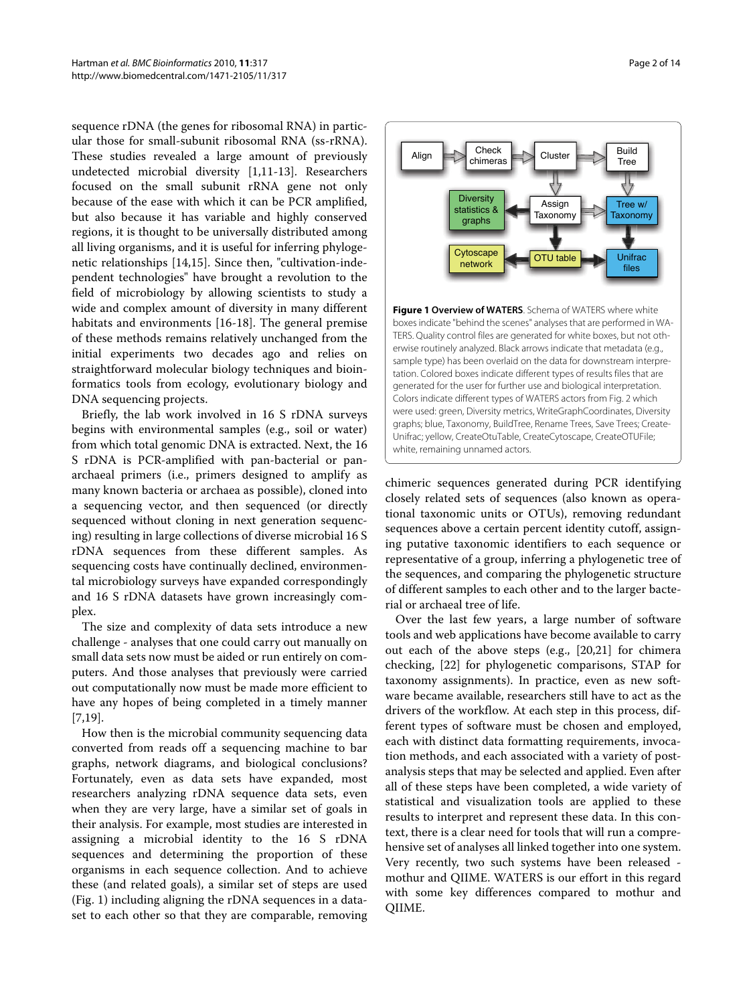sequence rDNA (the genes for ribosomal RNA) in particular those for small-subunit ribosomal RNA (ss-rRNA). These studies revealed a large amount of previously undetected microbial diversity [1,11-13]. Researchers focused on the small subunit rRNA gene not only because of the ease with which it can be PCR amplified, but also because it has variable and highly conserved regions, it is thought to be universally distributed among all living organisms, and it is useful for inferring phylogenetic relationships [14,15]. Since then, "cultivation-independent technologies" have brought a revolution to the field of microbiology by allowing scientists to study a wide and complex amount of diversity in many different habitats and environments [16-18]. The general premise of these methods remains relatively unchanged from the initial experiments two decades ago and relies on straightforward molecular biology techniques and bioinformatics tools from ecology, evolutionary biology and DNA sequencing projects.

Briefly, the lab work involved in 16 S rDNA surveys begins with environmental samples (e.g., soil or water) from which total genomic DNA is extracted. Next, the 16 S rDNA is PCR-amplified with pan-bacterial or panarchaeal primers (i.e., primers designed to amplify as many known bacteria or archaea as possible), cloned into a sequencing vector, and then sequenced (or directly sequenced without cloning in next generation sequencing) resulting in large collections of diverse microbial 16 S rDNA sequences from these different samples. As sequencing costs have continually declined, environmental microbiology surveys have expanded correspondingly and 16 S rDNA datasets have grown increasingly complex.

The size and complexity of data sets introduce a new challenge - analyses that one could carry out manually on small data sets now must be aided or run entirely on computers. And those analyses that previously were carried out computationally now must be made more efficient to have any hopes of being completed in a timely manner [7,19].

How then is the microbial community sequencing data converted from reads off a sequencing machine to bar graphs, network diagrams, and biological conclusions? Fortunately, even as data sets have expanded, most researchers analyzing rDNA sequence data sets, even when they are very large, have a similar set of goals in their analysis. For example, most studies are interested in assigning a microbial identity to the 16 S rDNA sequences and determining the proportion of these organisms in each sequence collection. And to achieve these (and related goals), a similar set of steps are used (Fig. 1) including aligning the rDNA sequences in a dataset to each other so that they are comparable, removing



**Figure 1 Overview of WATERS**. Schema of WATERS where white boxes indicate "behind the scenes" analyses that are performed in WA-TERS. Quality control files are generated for white boxes, but not otherwise routinely analyzed. Black arrows indicate that metadata (e.g., sample type) has been overlaid on the data for downstream interpretation. Colored boxes indicate different types of results files that are generated for the user for further use and biological interpretation. Colors indicate different types of WATERS actors from Fig. 2 which were used: green, Diversity metrics, WriteGraphCoordinates, Diversity graphs; blue, Taxonomy, BuildTree, Rename Trees, Save Trees; Create-Unifrac; yellow, CreateOtuTable, CreateCytoscape, CreateOTUFile; white, remaining unnamed actors.

chimeric sequences generated during PCR identifying closely related sets of sequences (also known as operational taxonomic units or OTUs), removing redundant sequences above a certain percent identity cutoff, assigning putative taxonomic identifiers to each sequence or representative of a group, inferring a phylogenetic tree of the sequences, and comparing the phylogenetic structure of different samples to each other and to the larger bacterial or archaeal tree of life.

Over the last few years, a large number of software tools and web applications have become available to carry out each of the above steps (e.g., [20,21] for chimera checking, [22] for phylogenetic comparisons, STAP for taxonomy assignments). In practice, even as new software became available, researchers still have to act as the drivers of the workflow. At each step in this process, different types of software must be chosen and employed, each with distinct data formatting requirements, invocation methods, and each associated with a variety of postanalysis steps that may be selected and applied. Even after all of these steps have been completed, a wide variety of statistical and visualization tools are applied to these results to interpret and represent these data. In this context, there is a clear need for tools that will run a comprehensive set of analyses all linked together into one system. Very recently, two such systems have been released mothur and QIIME. WATERS is our effort in this regard with some key differences compared to mothur and QIIME.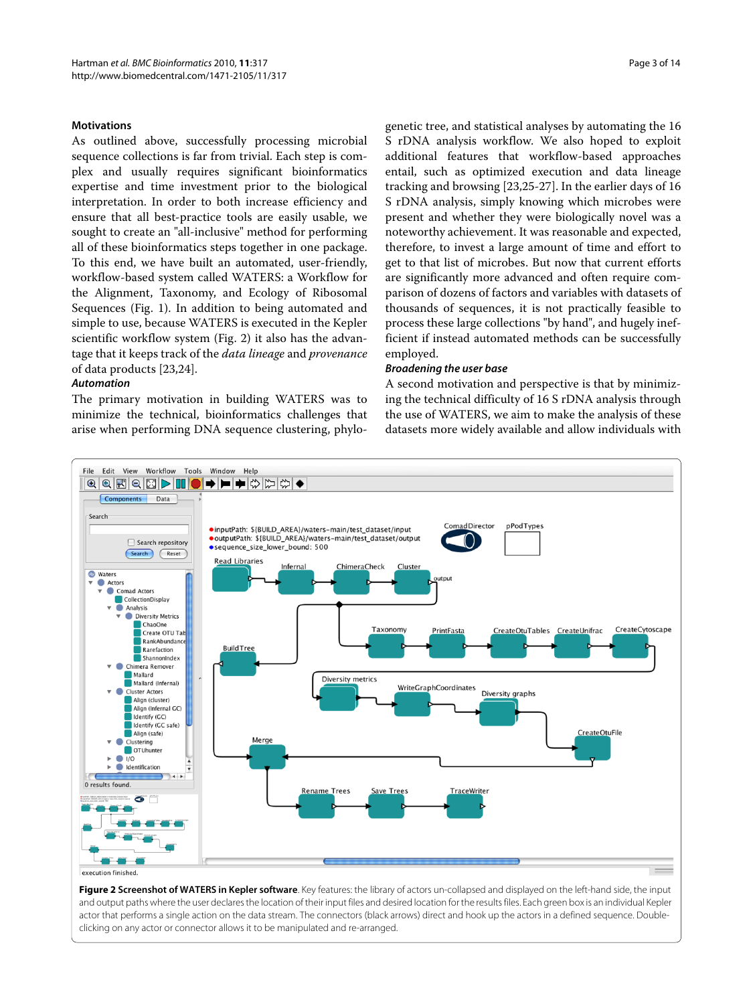#### **Motivations**

As outlined above, successfully processing microbial sequence collections is far from trivial. Each step is complex and usually requires significant bioinformatics expertise and time investment prior to the biological interpretation. In order to both increase efficiency and ensure that all best-practice tools are easily usable, we sought to create an "all-inclusive" method for performing all of these bioinformatics steps together in one package. To this end, we have built an automated, user-friendly, workflow-based system called WATERS: a Workflow for the Alignment, Taxonomy, and Ecology of Ribosomal Sequences (Fig. 1). In addition to being automated and simple to use, because WATERS is executed in the Kepler scientific workflow system (Fig. 2) it also has the advantage that it keeps track of the *data lineage* and *provenance* of data products [23,24].

#### *Automation*

The primary motivation in building WATERS was to minimize the technical, bioinformatics challenges that arise when performing DNA sequence clustering, phylogenetic tree, and statistical analyses by automating the 16 S rDNA analysis workflow. We also hoped to exploit additional features that workflow-based approaches entail, such as optimized execution and data lineage tracking and browsing [23,25-27]. In the earlier days of 16 S rDNA analysis, simply knowing which microbes were present and whether they were biologically novel was a noteworthy achievement. It was reasonable and expected, therefore, to invest a large amount of time and effort to get to that list of microbes. But now that current efforts are significantly more advanced and often require comparison of dozens of factors and variables with datasets of thousands of sequences, it is not practically feasible to process these large collections "by hand", and hugely inefficient if instead automated methods can be successfully employed.

#### *Broadening the user base*

A second motivation and perspective is that by minimizing the technical difficulty of 16 S rDNA analysis through the use of WATERS, we aim to make the analysis of these datasets more widely available and allow individuals with



**Figure 2 Screenshot of WATERS in Kepler software**. Key features: the library of actors un-collapsed and displayed on the left-hand side, the input and output paths where the user declares the location of their input files and desired location for the results files. Each green box is an individual Kepler actor that performs a single action on the data stream. The connectors (black arrows) direct and hook up the actors in a defined sequence. Doubleclicking on any actor or connector allows it to be manipulated and re-arranged.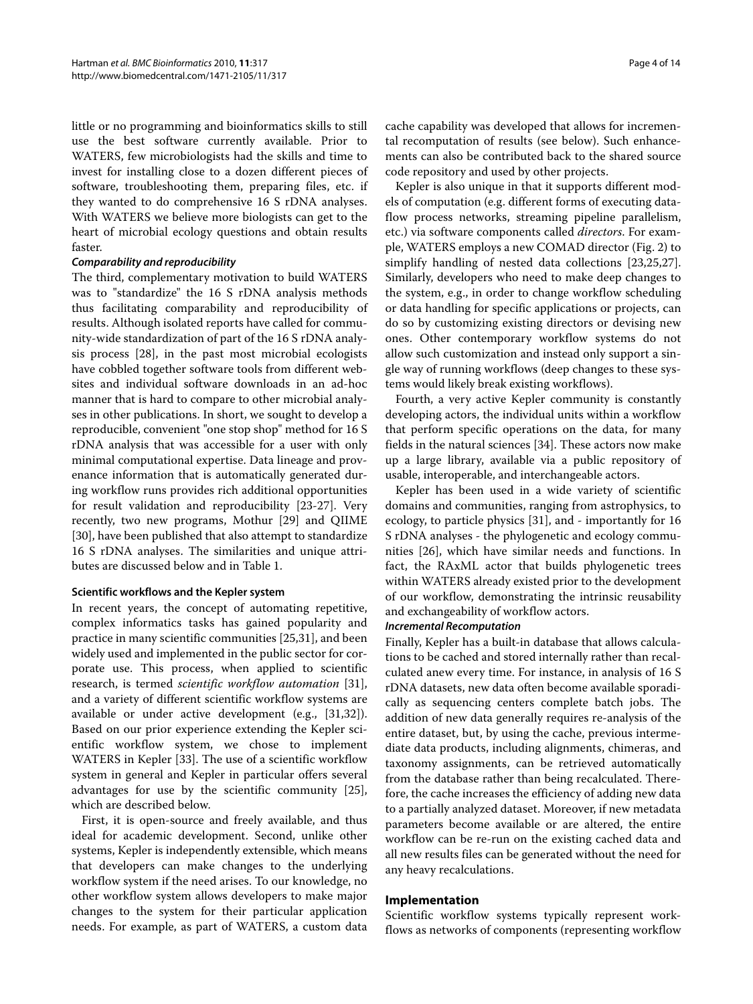little or no programming and bioinformatics skills to still use the best software currently available. Prior to WATERS, few microbiologists had the skills and time to invest for installing close to a dozen different pieces of software, troubleshooting them, preparing files, etc. if they wanted to do comprehensive 16 S rDNA analyses. With WATERS we believe more biologists can get to the heart of microbial ecology questions and obtain results faster.

#### *Comparability and reproducibility*

The third, complementary motivation to build WATERS was to "standardize" the 16 S rDNA analysis methods thus facilitating comparability and reproducibility of results. Although isolated reports have called for community-wide standardization of part of the 16 S rDNA analysis process [28], in the past most microbial ecologists have cobbled together software tools from different websites and individual software downloads in an ad-hoc manner that is hard to compare to other microbial analyses in other publications. In short, we sought to develop a reproducible, convenient "one stop shop" method for 16 S rDNA analysis that was accessible for a user with only minimal computational expertise. Data lineage and provenance information that is automatically generated during workflow runs provides rich additional opportunities for result validation and reproducibility [23-27]. Very recently, two new programs, Mothur [29] and QIIME [30], have been published that also attempt to standardize 16 S rDNA analyses. The similarities and unique attributes are discussed below and in Table 1.

# **Scientific workflows and the Kepler system**

In recent years, the concept of automating repetitive, complex informatics tasks has gained popularity and practice in many scientific communities [25,31], and been widely used and implemented in the public sector for corporate use. This process, when applied to scientific research, is termed *scientific workflow automation* [31], and a variety of different scientific workflow systems are available or under active development (e.g., [31,32]). Based on our prior experience extending the Kepler scientific workflow system, we chose to implement WATERS in Kepler [33]. The use of a scientific workflow system in general and Kepler in particular offers several advantages for use by the scientific community [25], which are described below.

First, it is open-source and freely available, and thus ideal for academic development. Second, unlike other systems, Kepler is independently extensible, which means that developers can make changes to the underlying workflow system if the need arises. To our knowledge, no other workflow system allows developers to make major changes to the system for their particular application needs. For example, as part of WATERS, a custom data

cache capability was developed that allows for incremental recomputation of results (see below). Such enhancements can also be contributed back to the shared source code repository and used by other projects.

Kepler is also unique in that it supports different models of computation (e.g. different forms of executing dataflow process networks, streaming pipeline parallelism, etc.) via software components called *directors*. For example, WATERS employs a new COMAD director (Fig. 2) to simplify handling of nested data collections [23,25,27]. Similarly, developers who need to make deep changes to the system, e.g., in order to change workflow scheduling or data handling for specific applications or projects, can do so by customizing existing directors or devising new ones. Other contemporary workflow systems do not allow such customization and instead only support a single way of running workflows (deep changes to these systems would likely break existing workflows).

Fourth, a very active Kepler community is constantly developing actors, the individual units within a workflow that perform specific operations on the data, for many fields in the natural sciences [34]. These actors now make up a large library, available via a public repository of usable, interoperable, and interchangeable actors.

Kepler has been used in a wide variety of scientific domains and communities, ranging from astrophysics, to ecology, to particle physics [31], and - importantly for 16 S rDNA analyses - the phylogenetic and ecology communities [26], which have similar needs and functions. In fact, the RAxML actor that builds phylogenetic trees within WATERS already existed prior to the development of our workflow, demonstrating the intrinsic reusability and exchangeability of workflow actors.

# *Incremental Recomputation*

Finally, Kepler has a built-in database that allows calculations to be cached and stored internally rather than recalculated anew every time. For instance, in analysis of 16 S rDNA datasets, new data often become available sporadically as sequencing centers complete batch jobs. The addition of new data generally requires re-analysis of the entire dataset, but, by using the cache, previous intermediate data products, including alignments, chimeras, and taxonomy assignments, can be retrieved automatically from the database rather than being recalculated. Therefore, the cache increases the efficiency of adding new data to a partially analyzed dataset. Moreover, if new metadata parameters become available or are altered, the entire workflow can be re-run on the existing cached data and all new results files can be generated without the need for any heavy recalculations.

# **Implementation**

Scientific workflow systems typically represent workflows as networks of components (representing workflow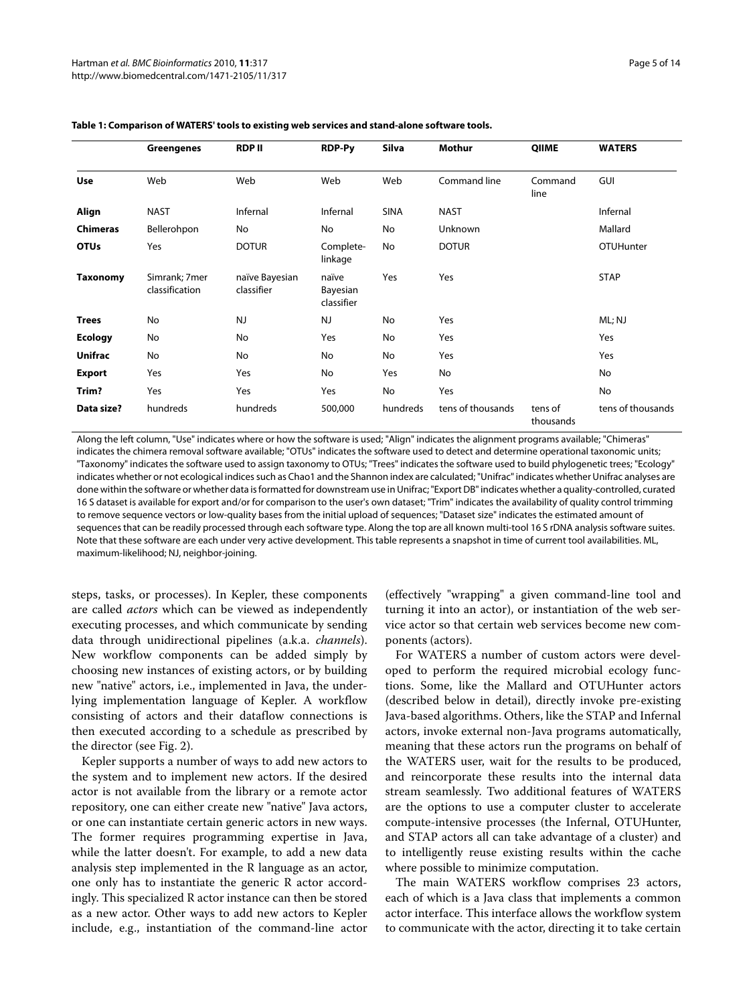|                 | <b>Greengenes</b>               | <b>RDP II</b>                | <b>RDP-Py</b>                   | <b>Silva</b> | Mothur            | <b>OIIME</b>         | <b>WATERS</b>     |
|-----------------|---------------------------------|------------------------------|---------------------------------|--------------|-------------------|----------------------|-------------------|
| <b>Use</b>      | Web                             | Web                          | Web                             | Web          | Command line      | Command<br>line      | GUI               |
| Align           | <b>NAST</b>                     | Infernal                     | Infernal                        | <b>SINA</b>  | <b>NAST</b>       |                      | Infernal          |
| <b>Chimeras</b> | Bellerohpon                     | No                           | <b>No</b>                       | No           | Unknown           |                      | Mallard           |
| <b>OTUs</b>     | Yes                             | <b>DOTUR</b>                 | Complete-<br>linkage            | No           | <b>DOTUR</b>      |                      | <b>OTUHunter</b>  |
| <b>Taxonomy</b> | Simrank; 7mer<br>classification | naïve Bayesian<br>classifier | naïve<br>Bayesian<br>classifier | Yes          | Yes               |                      | <b>STAP</b>       |
| <b>Trees</b>    | No                              | <b>NJ</b>                    | <b>NJ</b>                       | No           | Yes               |                      | ML; NJ            |
| <b>Ecology</b>  | No                              | No                           | Yes                             | No           | Yes               |                      | Yes               |
| Unifrac         | No                              | No                           | No                              | No           | Yes               |                      | Yes               |
| <b>Export</b>   | Yes                             | Yes                          | No                              | Yes          | No                |                      | No                |
| Trim?           | Yes                             | Yes                          | Yes                             | No           | Yes               |                      | No                |
| Data size?      | hundreds                        | hundreds                     | 500,000                         | hundreds     | tens of thousands | tens of<br>thousands | tens of thousands |

#### **Table 1: Comparison of WATERS' tools to existing web services and stand-alone software tools.**

Along the left column, "Use" indicates where or how the software is used; "Align" indicates the alignment programs available; "Chimeras" indicates the chimera removal software available; "OTUs" indicates the software used to detect and determine operational taxonomic units; "Taxonomy" indicates the software used to assign taxonomy to OTUs; "Trees" indicates the software used to build phylogenetic trees; "Ecology" indicates whether or not ecological indices such as Chao1 and the Shannon index are calculated; "Unifrac" indicates whether Unifrac analyses are done within the software or whether data is formatted for downstream use in Unifrac; "Export DB" indicates whether a quality-controlled, curated 16 S dataset is available for export and/or for comparison to the user's own dataset; "Trim" indicates the availability of quality control trimming to remove sequence vectors or low-quality bases from the initial upload of sequences; "Dataset size" indicates the estimated amount of sequences that can be readily processed through each software type. Along the top are all known multi-tool 16 S rDNA analysis software suites. Note that these software are each under very active development. This table represents a snapshot in time of current tool availabilities. ML, maximum-likelihood; NJ, neighbor-joining.

steps, tasks, or processes). In Kepler, these components are called *actors* which can be viewed as independently executing processes, and which communicate by sending data through unidirectional pipelines (a.k.a. *channels*). New workflow components can be added simply by choosing new instances of existing actors, or by building new "native" actors, i.e., implemented in Java, the underlying implementation language of Kepler. A workflow consisting of actors and their dataflow connections is then executed according to a schedule as prescribed by the director (see Fig. 2).

Kepler supports a number of ways to add new actors to the system and to implement new actors. If the desired actor is not available from the library or a remote actor repository, one can either create new "native" Java actors, or one can instantiate certain generic actors in new ways. The former requires programming expertise in Java, while the latter doesn't. For example, to add a new data analysis step implemented in the R language as an actor, one only has to instantiate the generic R actor accordingly. This specialized R actor instance can then be stored as a new actor. Other ways to add new actors to Kepler include, e.g., instantiation of the command-line actor

(effectively "wrapping" a given command-line tool and turning it into an actor), or instantiation of the web service actor so that certain web services become new components (actors).

For WATERS a number of custom actors were developed to perform the required microbial ecology functions. Some, like the Mallard and OTUHunter actors (described below in detail), directly invoke pre-existing Java-based algorithms. Others, like the STAP and Infernal actors, invoke external non-Java programs automatically, meaning that these actors run the programs on behalf of the WATERS user, wait for the results to be produced, and reincorporate these results into the internal data stream seamlessly. Two additional features of WATERS are the options to use a computer cluster to accelerate compute-intensive processes (the Infernal, OTUHunter, and STAP actors all can take advantage of a cluster) and to intelligently reuse existing results within the cache where possible to minimize computation.

The main WATERS workflow comprises 23 actors, each of which is a Java class that implements a common actor interface. This interface allows the workflow system to communicate with the actor, directing it to take certain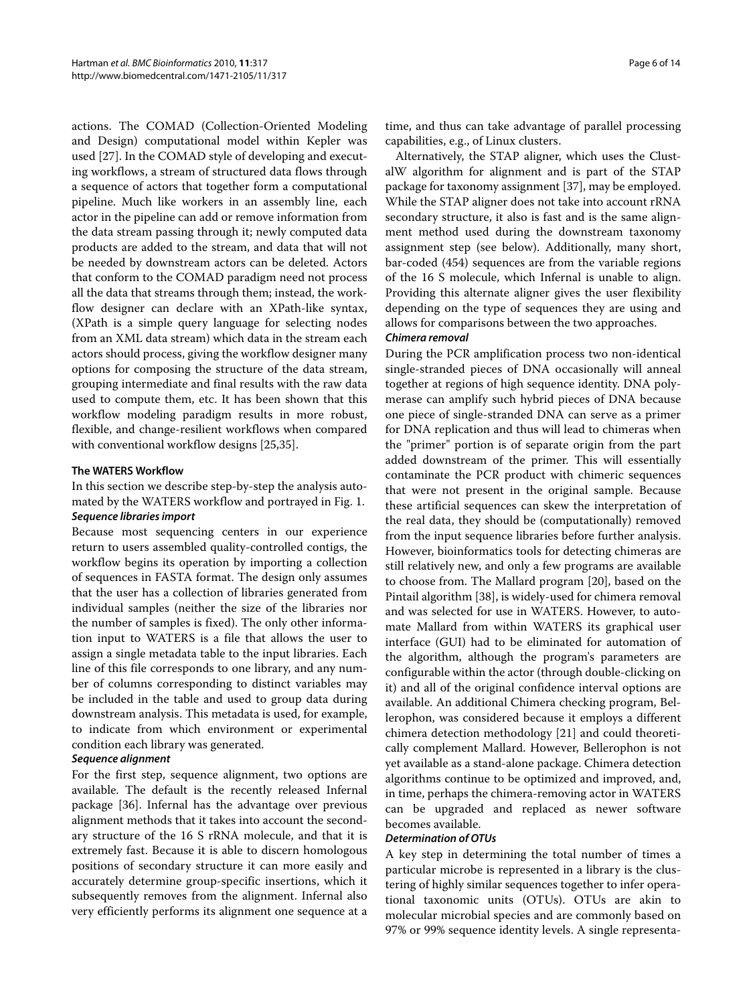actions. The COMAD (Collection-Oriented Modeling and Design) computational model within Kepler was used [27]. In the COMAD style of developing and executing workflows, a stream of structured data flows through a sequence of actors that together form a computational pipeline. Much like workers in an assembly line, each actor in the pipeline can add or remove information from the data stream passing through it; newly computed data products are added to the stream, and data that will not be needed by downstream actors can be deleted. Actors that conform to the COMAD paradigm need not process all the data that streams through them; instead, the workflow designer can declare with an XPath-like syntax, (XPath is a simple query language for selecting nodes from an XML data stream) which data in the stream each actors should process, giving the workflow designer many options for composing the structure of the data stream, grouping intermediate and final results with the raw data used to compute them, etc. It has been shown that this workflow modeling paradigm results in more robust, flexible, and change-resilient workflows when compared with conventional workflow designs [25,35].

# **The WATERS Workflow**

In this section we describe step-by-step the analysis automated by the WATERS workflow and portrayed in Fig. 1. *Sequence libraries import*

Because most sequencing centers in our experience return to users assembled quality-controlled contigs, the workflow begins its operation by importing a collection of sequences in FASTA format. The design only assumes that the user has a collection of libraries generated from individual samples (neither the size of the libraries nor the number of samples is fixed). The only other information input to WATERS is a file that allows the user to assign a single metadata table to the input libraries. Each line of this file corresponds to one library, and any number of columns corresponding to distinct variables may be included in the table and used to group data during downstream analysis. This metadata is used, for example, to indicate from which environment or experimental condition each library was generated.

# *Sequence alignment*

For the first step, sequence alignment, two options are available. The default is the recently released Infernal package [36]. Infernal has the advantage over previous alignment methods that it takes into account the secondary structure of the 16 S rRNA molecule, and that it is extremely fast. Because it is able to discern homologous positions of secondary structure it can more easily and accurately determine group-specific insertions, which it subsequently removes from the alignment. Infernal also very efficiently performs its alignment one sequence at a

time, and thus can take advantage of parallel processing capabilities, e.g., of Linux clusters.

Alternatively, the STAP aligner, which uses the ClustalW algorithm for alignment and is part of the STAP package for taxonomy assignment [37], may be employed. While the STAP aligner does not take into account rRNA secondary structure, it also is fast and is the same alignment method used during the downstream taxonomy assignment step (see below). Additionally, many short, bar-coded (454) sequences are from the variable regions of the 16 S molecule, which Infernal is unable to align. Providing this alternate aligner gives the user flexibility depending on the type of sequences they are using and allows for comparisons between the two approaches.

# *Chimera removal*

During the PCR amplification process two non-identical single-stranded pieces of DNA occasionally will anneal together at regions of high sequence identity. DNA polymerase can amplify such hybrid pieces of DNA because one piece of single-stranded DNA can serve as a primer for DNA replication and thus will lead to chimeras when the "primer" portion is of separate origin from the part added downstream of the primer. This will essentially contaminate the PCR product with chimeric sequences that were not present in the original sample. Because these artificial sequences can skew the interpretation of the real data, they should be (computationally) removed from the input sequence libraries before further analysis. However, bioinformatics tools for detecting chimeras are still relatively new, and only a few programs are available to choose from. The Mallard program [20], based on the Pintail algorithm [38], is widely-used for chimera removal and was selected for use in WATERS. However, to automate Mallard from within WATERS its graphical user interface (GUI) had to be eliminated for automation of the algorithm, although the program's parameters are configurable within the actor (through double-clicking on it) and all of the original confidence interval options are available. An additional Chimera checking program, Bellerophon, was considered because it employs a different chimera detection methodology [21] and could theoretically complement Mallard. However, Bellerophon is not yet available as a stand-alone package. Chimera detection algorithms continue to be optimized and improved, and, in time, perhaps the chimera-removing actor in WATERS can be upgraded and replaced as newer software becomes available.

# *Determination of OTUs*

A key step in determining the total number of times a particular microbe is represented in a library is the clustering of highly similar sequences together to infer operational taxonomic units (OTUs). OTUs are akin to molecular microbial species and are commonly based on 97% or 99% sequence identity levels. A single representa-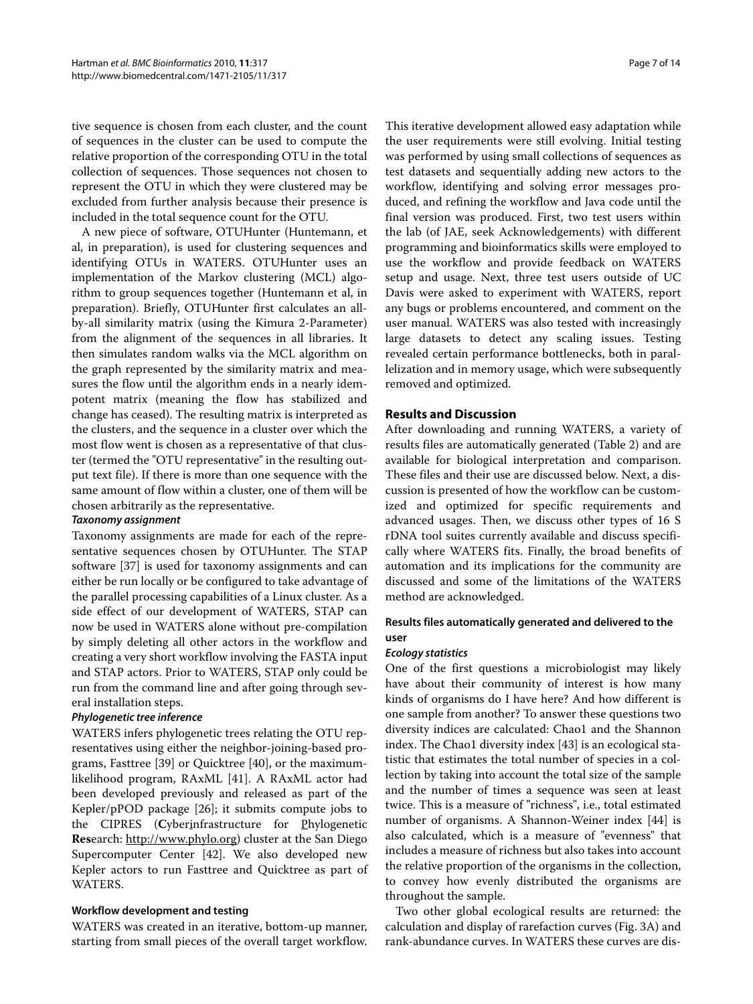tive sequence is chosen from each cluster, and the count of sequences in the cluster can be used to compute the relative proportion of the corresponding OTU in the total collection of sequences. Those sequences not chosen to represent the OTU in which they were clustered may be excluded from further analysis because their presence is included in the total sequence count for the OTU.

A new piece of software, OTUHunter (Huntemann, et al, in preparation), is used for clustering sequences and identifying OTUs in WATERS. OTUHunter uses an implementation of the Markov clustering (MCL) algorithm to group sequences together (Huntemann et al, in preparation). Briefly, OTUHunter first calculates an allby-all similarity matrix (using the Kimura 2-Parameter) from the alignment of the sequences in all libraries. It then simulates random walks via the MCL algorithm on the graph represented by the similarity matrix and measures the flow until the algorithm ends in a nearly idempotent matrix (meaning the flow has stabilized and change has ceased). The resulting matrix is interpreted as the clusters, and the sequence in a cluster over which the most flow went is chosen as a representative of that cluster (termed the "OTU representative" in the resulting output text file). If there is more than one sequence with the same amount of flow within a cluster, one of them will be chosen arbitrarily as the representative.

# *Taxonomy assignment*

Taxonomy assignments are made for each of the representative sequences chosen by OTUHunter. The STAP software [37] is used for taxonomy assignments and can either be run locally or be configured to take advantage of the parallel processing capabilities of a Linux cluster. As a side effect of our development of WATERS, STAP can now be used in WATERS alone without pre-compilation by simply deleting all other actors in the workflow and creating a very short workflow involving the FASTA input and STAP actors. Prior to WATERS, STAP only could be run from the command line and after going through several installation steps.

# *Phylogenetic tree inference*

WATERS infers phylogenetic trees relating the OTU representatives using either the neighbor-joining-based programs, Fasttree [39] or Quicktree [40], or the maximumlikelihood program, RAxML [41]. A RAxML actor had been developed previously and released as part of the Kepler/pPOD package [26]; it submits compute jobs to the CIPRES (**C**yberinfrastructure for Phylogenetic **Res**earch: http://www.phylo.org) cluster at the San Diego Supercomputer Center [42]. We also developed new Kepler actors to run Fasttree and Quicktree as part of WATERS.

# **Workflow development and testing**

WATERS was created in an iterative, bottom-up manner, starting from small pieces of the overall target workflow.

This iterative development allowed easy adaptation while the user requirements were still evolving. Initial testing was performed by using small collections of sequences as test datasets and sequentially adding new actors to the workflow, identifying and solving error messages produced, and refining the workflow and Java code until the final version was produced. First, two test users within the lab (of JAE, seek Acknowledgements) with different programming and bioinformatics skills were employed to use the workflow and provide feedback on WATERS setup and usage. Next, three test users outside of UC Davis were asked to experiment with WATERS, report any bugs or problems encountered, and comment on the user manual. WATERS was also tested with increasingly large datasets to detect any scaling issues. Testing revealed certain performance bottlenecks, both in parallelization and in memory usage, which were subsequently removed and optimized.

# **Results and Discussion**

After downloading and running WATERS, a variety of results files are automatically generated (Table 2) and are available for biological interpretation and comparison. These files and their use are discussed below. Next, a discussion is presented of how the workflow can be customized and optimized for specific requirements and advanced usages. Then, we discuss other types of 16 S rDNA tool suites currently available and discuss specifically where WATERS fits. Finally, the broad benefits of automation and its implications for the community are discussed and some of the limitations of the WATERS method are acknowledged.

# **Results files automatically generated and delivered to the user**

#### *Ecology statistics*

One of the first questions a microbiologist may likely have about their community of interest is how many kinds of organisms do I have here? And how different is one sample from another? To answer these questions two diversity indices are calculated: Chao1 and the Shannon index. The Chao1 diversity index [43] is an ecological statistic that estimates the total number of species in a collection by taking into account the total size of the sample and the number of times a sequence was seen at least twice. This is a measure of "richness", i.e., total estimated number of organisms. A Shannon-Weiner index [44] is also calculated, which is a measure of "evenness" that includes a measure of richness but also takes into account the relative proportion of the organisms in the collection, to convey how evenly distributed the organisms are throughout the sample.

Two other global ecological results are returned: the calculation and display of rarefaction curves (Fig. 3A) and rank-abundance curves. In WATERS these curves are dis-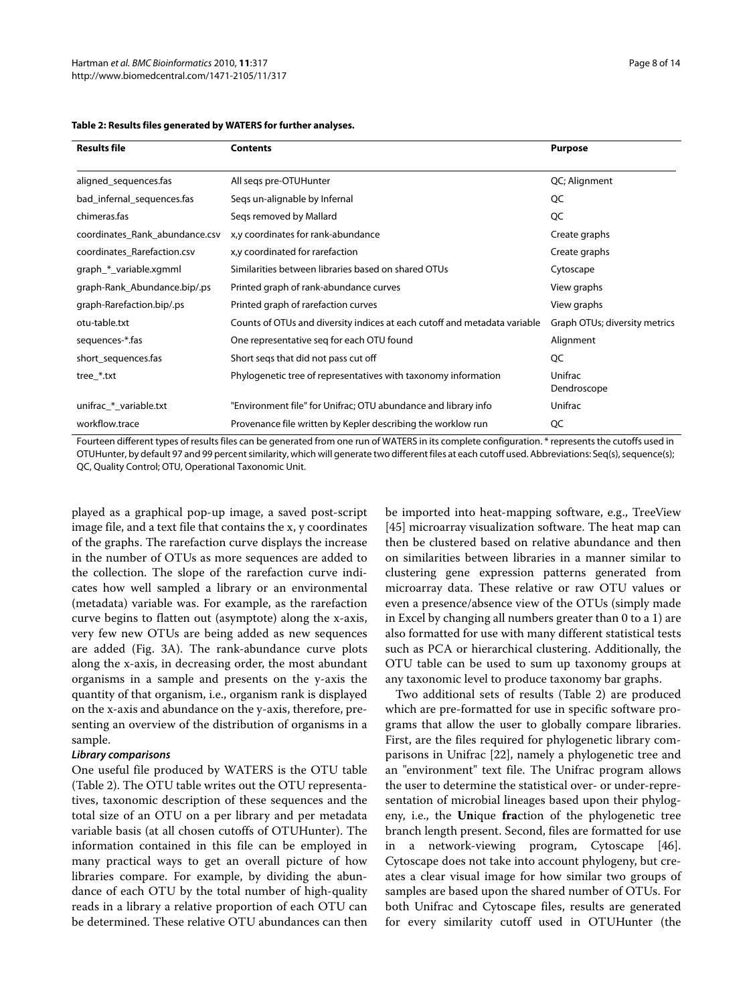| <b>Results file</b>            | <b>Contents</b>                                                           | <b>Purpose</b>                |  |
|--------------------------------|---------------------------------------------------------------------------|-------------------------------|--|
| aligned_sequences.fas          | All segs pre-OTUHunter                                                    | QC; Alignment                 |  |
|                                |                                                                           |                               |  |
| bad_infernal_sequences.fas     | Segs un-alignable by Infernal                                             | QC                            |  |
| chimeras.fas                   | Segs removed by Mallard                                                   | QC                            |  |
| coordinates_Rank_abundance.csv | x, y coordinates for rank-abundance                                       | Create graphs                 |  |
| coordinates_Rarefaction.csv    | x,y coordinated for rarefaction                                           | Create graphs                 |  |
| graph_*_variable.xgmml         | Similarities between libraries based on shared OTUs                       | Cytoscape                     |  |
| graph-Rank_Abundance.bip/.ps   | Printed graph of rank-abundance curves                                    | View graphs                   |  |
| graph-Rarefaction.bip/.ps      | Printed graph of rarefaction curves                                       | View graphs                   |  |
| otu-table.txt                  | Counts of OTUs and diversity indices at each cutoff and metadata variable | Graph OTUs; diversity metrics |  |
| sequences-*.fas                | One representative seg for each OTU found                                 | Alignment                     |  |
| short_sequences.fas            | Short segs that did not pass cut off                                      | QC                            |  |
| tree_*.txt                     | Phylogenetic tree of representatives with taxonomy information            | Unifrac                       |  |
|                                |                                                                           | Dendroscope                   |  |
| unifrac_*_variable.txt         | "Environment file" for Unifrac; OTU abundance and library info            | Unifrac                       |  |
| workflow.trace                 | Provenance file written by Kepler describing the worklow run              | QC                            |  |

#### **Table 2: Results files generated by WATERS for further analyses.**

Fourteen different types of results files can be generated from one run of WATERS in its complete configuration. \* represents the cutoffs used in OTUHunter, by default 97 and 99 percent similarity, which will generate two different files at each cutoff used. Abbreviations: Seq(s), sequence(s); QC, Quality Control; OTU, Operational Taxonomic Unit.

played as a graphical pop-up image, a saved post-script image file, and a text file that contains the x, y coordinates of the graphs. The rarefaction curve displays the increase in the number of OTUs as more sequences are added to the collection. The slope of the rarefaction curve indicates how well sampled a library or an environmental (metadata) variable was. For example, as the rarefaction curve begins to flatten out (asymptote) along the x-axis, very few new OTUs are being added as new sequences are added (Fig. 3A). The rank-abundance curve plots along the x-axis, in decreasing order, the most abundant organisms in a sample and presents on the y-axis the quantity of that organism, i.e., organism rank is displayed on the x-axis and abundance on the y-axis, therefore, presenting an overview of the distribution of organisms in a sample.

#### *Library comparisons*

One useful file produced by WATERS is the OTU table (Table 2). The OTU table writes out the OTU representatives, taxonomic description of these sequences and the total size of an OTU on a per library and per metadata variable basis (at all chosen cutoffs of OTUHunter). The information contained in this file can be employed in many practical ways to get an overall picture of how libraries compare. For example, by dividing the abundance of each OTU by the total number of high-quality reads in a library a relative proportion of each OTU can be determined. These relative OTU abundances can then

be imported into heat-mapping software, e.g., TreeView [45] microarray visualization software. The heat map can then be clustered based on relative abundance and then on similarities between libraries in a manner similar to clustering gene expression patterns generated from microarray data. These relative or raw OTU values or even a presence/absence view of the OTUs (simply made in Excel by changing all numbers greater than 0 to a 1) are also formatted for use with many different statistical tests such as PCA or hierarchical clustering. Additionally, the OTU table can be used to sum up taxonomy groups at any taxonomic level to produce taxonomy bar graphs.

Two additional sets of results (Table 2) are produced which are pre-formatted for use in specific software programs that allow the user to globally compare libraries. First, are the files required for phylogenetic library comparisons in Unifrac [22], namely a phylogenetic tree and an "environment" text file. The Unifrac program allows the user to determine the statistical over- or under-representation of microbial lineages based upon their phylogeny, i.e., the **Un**ique **fra**ction of the phylogenetic tree branch length present. Second, files are formatted for use a network-viewing program, Cytoscape [46]. Cytoscape does not take into account phylogeny, but creates a clear visual image for how similar two groups of samples are based upon the shared number of OTUs. For both Unifrac and Cytoscape files, results are generated for every similarity cutoff used in OTUHunter (the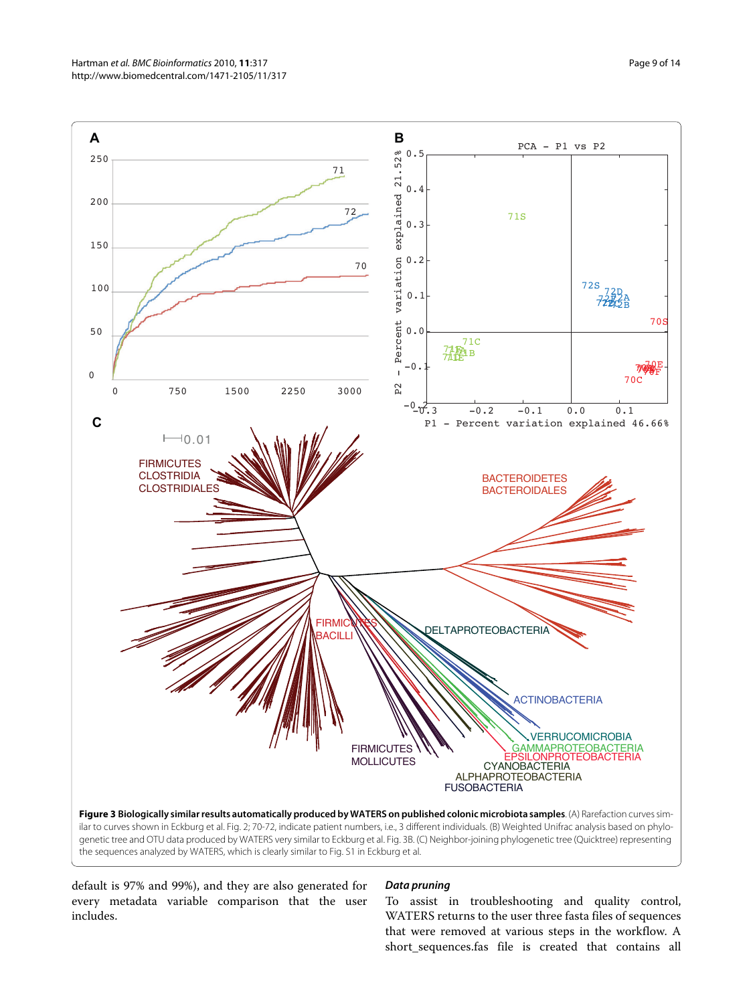

default is 97% and 99%), and they are also generated for every metadata variable comparison that the user includes.

# *Data pruning*

To assist in troubleshooting and quality control, WATERS returns to the user three fasta files of sequences that were removed at various steps in the workflow. A short\_sequences.fas file is created that contains all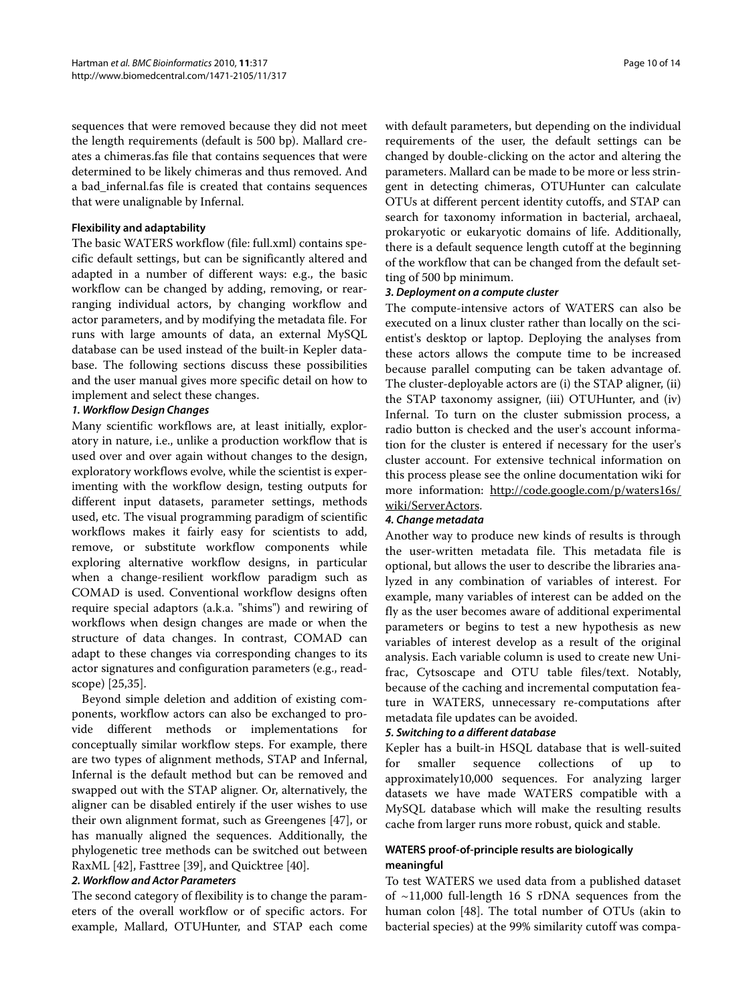sequences that were removed because they did not meet the length requirements (default is 500 bp). Mallard creates a chimeras.fas file that contains sequences that were determined to be likely chimeras and thus removed. And a bad\_infernal.fas file is created that contains sequences that were unalignable by Infernal.

#### **Flexibility and adaptability**

The basic WATERS workflow (file: full.xml) contains specific default settings, but can be significantly altered and adapted in a number of different ways: e.g., the basic workflow can be changed by adding, removing, or rearranging individual actors, by changing workflow and actor parameters, and by modifying the metadata file. For runs with large amounts of data, an external MySQL database can be used instead of the built-in Kepler database. The following sections discuss these possibilities and the user manual gives more specific detail on how to implement and select these changes.

# *1. Workflow Design Changes*

Many scientific workflows are, at least initially, exploratory in nature, i.e., unlike a production workflow that is used over and over again without changes to the design, exploratory workflows evolve, while the scientist is experimenting with the workflow design, testing outputs for different input datasets, parameter settings, methods used, etc. The visual programming paradigm of scientific workflows makes it fairly easy for scientists to add, remove, or substitute workflow components while exploring alternative workflow designs, in particular when a change-resilient workflow paradigm such as COMAD is used. Conventional workflow designs often require special adaptors (a.k.a. "shims") and rewiring of workflows when design changes are made or when the structure of data changes. In contrast, COMAD can adapt to these changes via corresponding changes to its actor signatures and configuration parameters (e.g., readscope) [25,35].

Beyond simple deletion and addition of existing components, workflow actors can also be exchanged to provide different methods or implementations for conceptually similar workflow steps. For example, there are two types of alignment methods, STAP and Infernal, Infernal is the default method but can be removed and swapped out with the STAP aligner. Or, alternatively, the aligner can be disabled entirely if the user wishes to use their own alignment format, such as Greengenes [47], or has manually aligned the sequences. Additionally, the phylogenetic tree methods can be switched out between RaxML [42], Fasttree [39], and Quicktree [40].

# *2. Workflow and Actor Parameters*

The second category of flexibility is to change the parameters of the overall workflow or of specific actors. For example, Mallard, OTUHunter, and STAP each come with default parameters, but depending on the individual requirements of the user, the default settings can be changed by double-clicking on the actor and altering the parameters. Mallard can be made to be more or less stringent in detecting chimeras, OTUHunter can calculate OTUs at different percent identity cutoffs, and STAP can search for taxonomy information in bacterial, archaeal, prokaryotic or eukaryotic domains of life. Additionally, there is a default sequence length cutoff at the beginning of the workflow that can be changed from the default setting of 500 bp minimum.

#### *3. Deployment on a compute cluster*

The compute-intensive actors of WATERS can also be executed on a linux cluster rather than locally on the scientist's desktop or laptop. Deploying the analyses from these actors allows the compute time to be increased because parallel computing can be taken advantage of. The cluster-deployable actors are (i) the STAP aligner, (ii) the STAP taxonomy assigner, (iii) OTUHunter, and (iv) Infernal. To turn on the cluster submission process, a radio button is checked and the user's account information for the cluster is entered if necessary for the user's cluster account. For extensive technical information on this process please see the online documentation wiki for more information: http://code.google.com/p/waters16s/ wiki/ServerActors.

#### *4. Change metadata*

Another way to produce new kinds of results is through the user-written metadata file. This metadata file is optional, but allows the user to describe the libraries analyzed in any combination of variables of interest. For example, many variables of interest can be added on the fly as the user becomes aware of additional experimental parameters or begins to test a new hypothesis as new variables of interest develop as a result of the original analysis. Each variable column is used to create new Unifrac, Cytsoscape and OTU table files/text. Notably, because of the caching and incremental computation feature in WATERS, unnecessary re-computations after metadata file updates can be avoided.

# *5. Switching to a different database*

Kepler has a built-in HSQL database that is well-suited for smaller sequence collections of up approximately10,000 sequences. For analyzing larger datasets we have made WATERS compatible with a MySQL database which will make the resulting results cache from larger runs more robust, quick and stable.

# **WATERS proof-of-principle results are biologically meaningful**

To test WATERS we used data from a published dataset of  $\sim$ 11,000 full-length 16 S rDNA sequences from the human colon [48]. The total number of OTUs (akin to bacterial species) at the 99% similarity cutoff was compa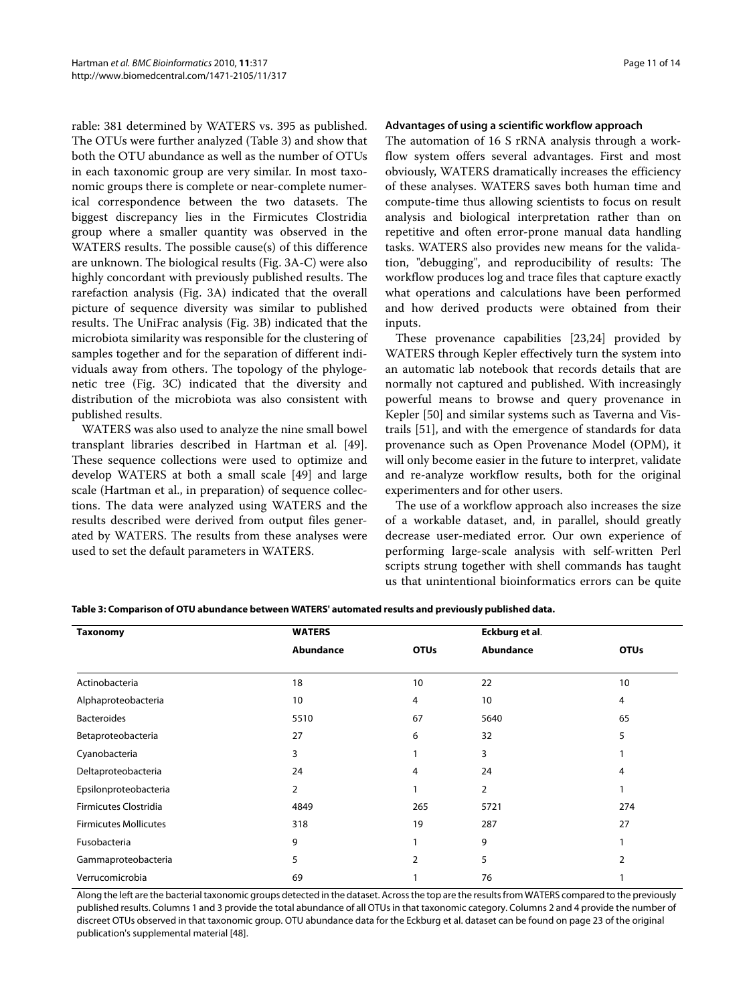rable: 381 determined by WATERS vs. 395 as published. The OTUs were further analyzed (Table 3) and show that both the OTU abundance as well as the number of OTUs in each taxonomic group are very similar. In most taxonomic groups there is complete or near-complete numerical correspondence between the two datasets. The biggest discrepancy lies in the Firmicutes Clostridia group where a smaller quantity was observed in the WATERS results. The possible cause(s) of this difference are unknown. The biological results (Fig. 3A-C) were also highly concordant with previously published results. The rarefaction analysis (Fig. 3A) indicated that the overall picture of sequence diversity was similar to published results. The UniFrac analysis (Fig. 3B) indicated that the microbiota similarity was responsible for the clustering of samples together and for the separation of different individuals away from others. The topology of the phylogenetic tree (Fig. 3C) indicated that the diversity and distribution of the microbiota was also consistent with published results.

WATERS was also used to analyze the nine small bowel transplant libraries described in Hartman et al. [49]. These sequence collections were used to optimize and develop WATERS at both a small scale [49] and large scale (Hartman et al., in preparation) of sequence collections. The data were analyzed using WATERS and the results described were derived from output files generated by WATERS. The results from these analyses were used to set the default parameters in WATERS.

#### **Advantages of using a scientific workflow approach**

The automation of 16 S rRNA analysis through a workflow system offers several advantages. First and most obviously, WATERS dramatically increases the efficiency of these analyses. WATERS saves both human time and compute-time thus allowing scientists to focus on result analysis and biological interpretation rather than on repetitive and often error-prone manual data handling tasks. WATERS also provides new means for the validation, "debugging", and reproducibility of results: The workflow produces log and trace files that capture exactly what operations and calculations have been performed and how derived products were obtained from their inputs.

These provenance capabilities [23,24] provided by WATERS through Kepler effectively turn the system into an automatic lab notebook that records details that are normally not captured and published. With increasingly powerful means to browse and query provenance in Kepler [50] and similar systems such as Taverna and Vistrails [51], and with the emergence of standards for data provenance such as Open Provenance Model (OPM), it will only become easier in the future to interpret, validate and re-analyze workflow results, both for the original experimenters and for other users.

The use of a workflow approach also increases the size of a workable dataset, and, in parallel, should greatly decrease user-mediated error. Our own experience of performing large-scale analysis with self-written Perl scripts strung together with shell commands has taught us that unintentional bioinformatics errors can be quite

| <b>Taxonomy</b>              | <b>WATERS</b> |             | Eckburg et al.   |             |
|------------------------------|---------------|-------------|------------------|-------------|
|                              | Abundance     | <b>OTUs</b> | <b>Abundance</b> | <b>OTUs</b> |
|                              |               |             |                  |             |
| Actinobacteria               | 18            | 10          | 22               | 10          |
| Alphaproteobacteria          | 10            | 4           | 10               | 4           |
| <b>Bacteroides</b>           | 5510          | 67          | 5640             | 65          |
| Betaproteobacteria           | 27            | 6           | 32               | 5           |
| Cyanobacteria                | 3             |             | 3                |             |
| Deltaproteobacteria          | 24            | 4           | 24               | 4           |
| Epsilonproteobacteria        | 2             |             | 2                |             |
| <b>Firmicutes Clostridia</b> | 4849          | 265         | 5721             | 274         |
| <b>Firmicutes Mollicutes</b> | 318           | 19          | 287              | 27          |
| Fusobacteria                 | 9             |             | 9                |             |
| Gammaproteobacteria          | 5             | 2           | 5                | 2           |
| Verrucomicrobia              | 69            |             | 76               |             |

**Table 3: Comparison of OTU abundance between WATERS' automated results and previously published data.**

Along the left are the bacterial taxonomic groups detected in the dataset. Across the top are the results from WATERS compared to the previously published results. Columns 1 and 3 provide the total abundance of all OTUs in that taxonomic category. Columns 2 and 4 provide the number of discreet OTUs observed in that taxonomic group. OTU abundance data for the Eckburg et al. dataset can be found on page 23 of the original publication's supplemental material [48].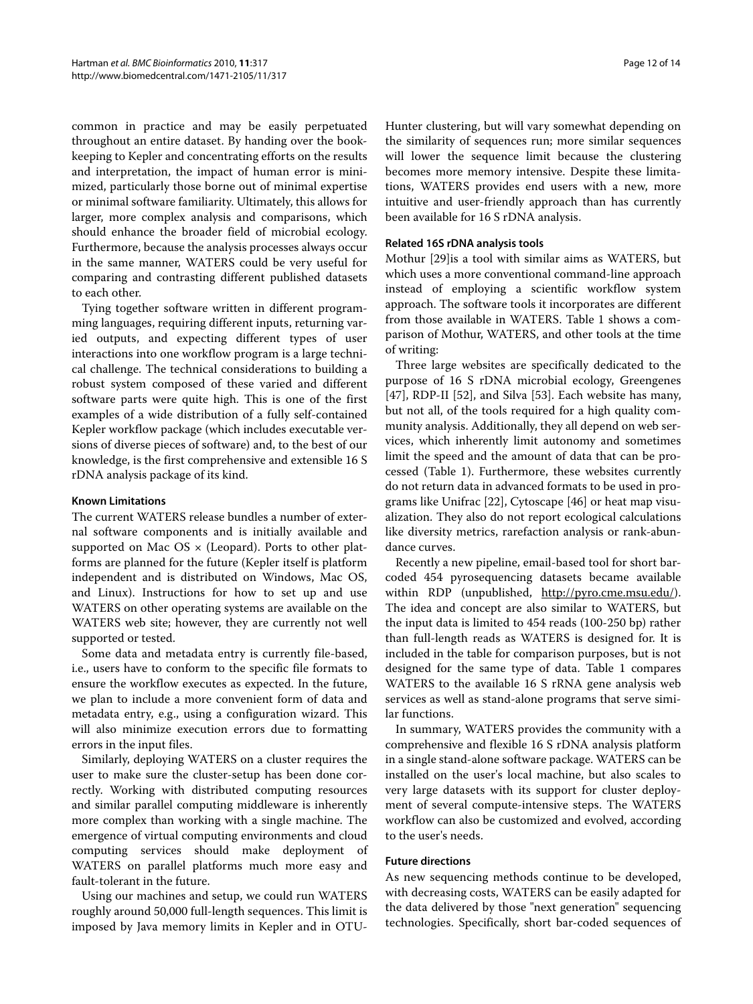common in practice and may be easily perpetuated throughout an entire dataset. By handing over the bookkeeping to Kepler and concentrating efforts on the results and interpretation, the impact of human error is minimized, particularly those borne out of minimal expertise or minimal software familiarity. Ultimately, this allows for larger, more complex analysis and comparisons, which should enhance the broader field of microbial ecology. Furthermore, because the analysis processes always occur in the same manner, WATERS could be very useful for comparing and contrasting different published datasets to each other.

Tying together software written in different programming languages, requiring different inputs, returning varied outputs, and expecting different types of user interactions into one workflow program is a large technical challenge. The technical considerations to building a robust system composed of these varied and different software parts were quite high. This is one of the first examples of a wide distribution of a fully self-contained Kepler workflow package (which includes executable versions of diverse pieces of software) and, to the best of our knowledge, is the first comprehensive and extensible 16 S rDNA analysis package of its kind.

#### **Known Limitations**

The current WATERS release bundles a number of external software components and is initially available and supported on Mac OS  $\times$  (Leopard). Ports to other platforms are planned for the future (Kepler itself is platform independent and is distributed on Windows, Mac OS, and Linux). Instructions for how to set up and use WATERS on other operating systems are available on the WATERS web site; however, they are currently not well supported or tested.

Some data and metadata entry is currently file-based, i.e., users have to conform to the specific file formats to ensure the workflow executes as expected. In the future, we plan to include a more convenient form of data and metadata entry, e.g., using a configuration wizard. This will also minimize execution errors due to formatting errors in the input files.

Similarly, deploying WATERS on a cluster requires the user to make sure the cluster-setup has been done correctly. Working with distributed computing resources and similar parallel computing middleware is inherently more complex than working with a single machine. The emergence of virtual computing environments and cloud computing services should make deployment of WATERS on parallel platforms much more easy and fault-tolerant in the future.

Using our machines and setup, we could run WATERS roughly around 50,000 full-length sequences. This limit is imposed by Java memory limits in Kepler and in OTU-

Hunter clustering, but will vary somewhat depending on the similarity of sequences run; more similar sequences will lower the sequence limit because the clustering becomes more memory intensive. Despite these limitations, WATERS provides end users with a new, more intuitive and user-friendly approach than has currently been available for 16 S rDNA analysis.

#### **Related 16S rDNA analysis tools**

Mothur [29]is a tool with similar aims as WATERS, but which uses a more conventional command-line approach instead of employing a scientific workflow system approach. The software tools it incorporates are different from those available in WATERS. Table 1 shows a comparison of Mothur, WATERS, and other tools at the time of writing:

Three large websites are specifically dedicated to the purpose of 16 S rDNA microbial ecology, Greengenes [47], RDP-II [52], and Silva [53]. Each website has many, but not all, of the tools required for a high quality community analysis. Additionally, they all depend on web services, which inherently limit autonomy and sometimes limit the speed and the amount of data that can be processed (Table 1). Furthermore, these websites currently do not return data in advanced formats to be used in programs like Unifrac [22], Cytoscape [46] or heat map visualization. They also do not report ecological calculations like diversity metrics, rarefaction analysis or rank-abundance curves.

Recently a new pipeline, email-based tool for short barcoded 454 pyrosequencing datasets became available within RDP (unpublished, http://pyro.cme.msu.edu/). The idea and concept are also similar to WATERS, but the input data is limited to 454 reads (100-250 bp) rather than full-length reads as WATERS is designed for. It is included in the table for comparison purposes, but is not designed for the same type of data. Table 1 compares WATERS to the available 16 S rRNA gene analysis web services as well as stand-alone programs that serve similar functions.

In summary, WATERS provides the community with a comprehensive and flexible 16 S rDNA analysis platform in a single stand-alone software package. WATERS can be installed on the user's local machine, but also scales to very large datasets with its support for cluster deployment of several compute-intensive steps. The WATERS workflow can also be customized and evolved, according to the user's needs.

# **Future directions**

As new sequencing methods continue to be developed, with decreasing costs, WATERS can be easily adapted for the data delivered by those "next generation" sequencing technologies. Specifically, short bar-coded sequences of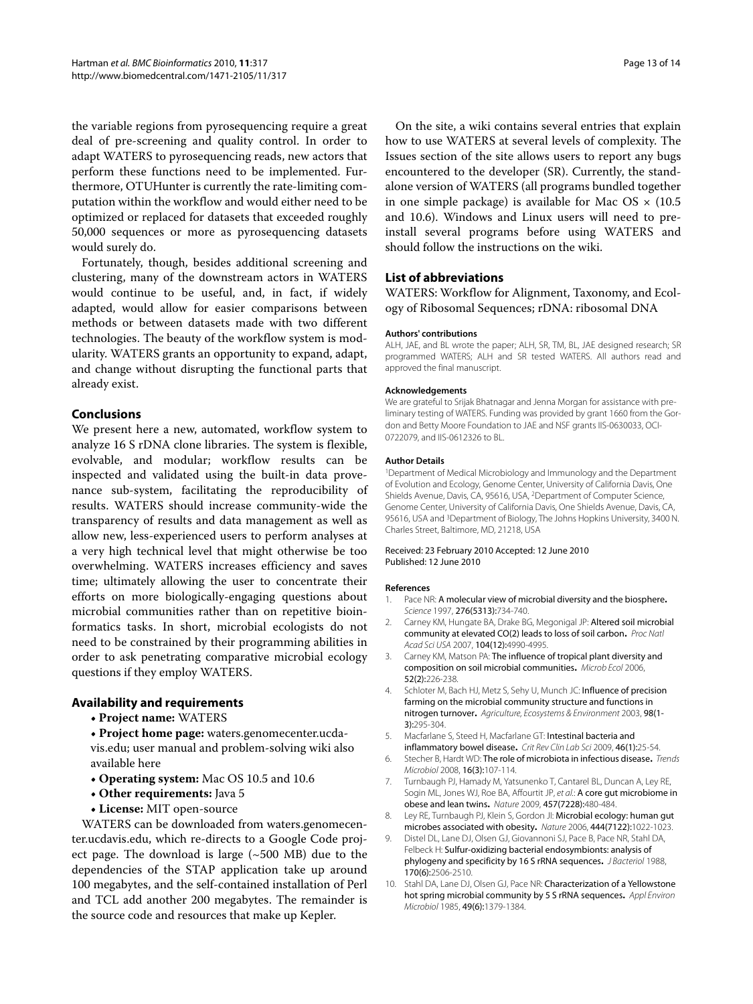the variable regions from pyrosequencing require a great deal of pre-screening and quality control. In order to adapt WATERS to pyrosequencing reads, new actors that perform these functions need to be implemented. Furthermore, OTUHunter is currently the rate-limiting computation within the workflow and would either need to be optimized or replaced for datasets that exceeded roughly 50,000 sequences or more as pyrosequencing datasets would surely do.

Fortunately, though, besides additional screening and clustering, many of the downstream actors in WATERS would continue to be useful, and, in fact, if widely adapted, would allow for easier comparisons between methods or between datasets made with two different technologies. The beauty of the workflow system is modularity. WATERS grants an opportunity to expand, adapt, and change without disrupting the functional parts that already exist.

# **Conclusions**

We present here a new, automated, workflow system to analyze 16 S rDNA clone libraries. The system is flexible, evolvable, and modular; workflow results can be inspected and validated using the built-in data provenance sub-system, facilitating the reproducibility of results. WATERS should increase community-wide the transparency of results and data management as well as allow new, less-experienced users to perform analyses at a very high technical level that might otherwise be too overwhelming. WATERS increases efficiency and saves time; ultimately allowing the user to concentrate their efforts on more biologically-engaging questions about microbial communities rather than on repetitive bioinformatics tasks. In short, microbial ecologists do not need to be constrained by their programming abilities in order to ask penetrating comparative microbial ecology questions if they employ WATERS.

# **Availability and requirements**

**• Project name:** WATERS

**• Project home page:** waters.genomecenter.ucdavis.edu; user manual and problem-solving wiki also available here

- **Operating system:** Mac OS 10.5 and 10.6
- **Other requirements:** Java 5
- **License:** MIT open-source

WATERS can be downloaded from waters.genomecenter.ucdavis.edu, which re-directs to a Google Code project page. The download is large (~500 MB) due to the dependencies of the STAP application take up around 100 megabytes, and the self-contained installation of Perl and TCL add another 200 megabytes. The remainder is the source code and resources that make up Kepler.

On the site, a wiki contains several entries that explain how to use WATERS at several levels of complexity. The Issues section of the site allows users to report any bugs encountered to the developer (SR). Currently, the standalone version of WATERS (all programs bundled together in one simple package) is available for Mac OS  $\times$  (10.5) and 10.6). Windows and Linux users will need to preinstall several programs before using WATERS and should follow the instructions on the wiki.

#### **List of abbreviations**

WATERS: Workflow for Alignment, Taxonomy, and Ecology of Ribosomal Sequences; rDNA: ribosomal DNA

#### **Authors' contributions**

ALH, JAE, and BL wrote the paper; ALH, SR, TM, BL, JAE designed research; SR programmed WATERS; ALH and SR tested WATERS. All authors read and approved the final manuscript.

#### **Acknowledgements**

We are grateful to Srijak Bhatnagar and Jenna Morgan for assistance with preliminary testing of WATERS. Funding was provided by grant 1660 from the Gordon and Betty Moore Foundation to JAE and NSF grants IIS-0630033, OCI-0722079, and IIS-0612326 to BL.

#### **Author Details**

1Department of Medical Microbiology and Immunology and the Department of Evolution and Ecology, Genome Center, University of California Davis, One Shields Avenue, Davis, CA, 95616, USA, 2Department of Computer Science, Genome Center, University of California Davis, One Shields Avenue, Davis, CA, 95616, USA and 3Department of Biology, The Johns Hopkins University, 3400 N. Charles Street, Baltimore, MD, 21218, USA

#### Received: 23 February 2010 Accepted: 12 June 2010 Published: 12 June 2010

#### **References**

- 1. Pace NR: A molecular view of microbial diversity and the biosphere**.** Science 1997, 276(5313):734-740.
- 2. Carney KM, Hungate BA, Drake BG, Megonigal JP: Altered soil microbial community at elevated CO(2) leads to loss of soil carbon**.** Proc Natl Acad Sci USA 2007, 104(12):4990-4995.
- 3. Carney KM, Matson PA: The influence of tropical plant diversity and composition on soil microbial communities**.** Microb Ecol 2006, 52(2):226-238.
- 4. Schloter M, Bach HJ, Metz S, Sehy U, Munch JC: Influence of precision farming on the microbial community structure and functions in nitrogen turnover**.** Agriculture, Ecosystems & Environment 2003, 98(1- 3):295-304.
- 5. Macfarlane S, Steed H, Macfarlane GT: Intestinal bacteria and inflammatory bowel disease**.** Crit Rev Clin Lab Sci 2009, 46(1):25-54. 6. Stecher B, Hardt WD: The role of microbiota in infectious disease**.** Trends
- Microbiol 2008, 16(3):107-114.
- 7. Turnbaugh PJ, Hamady M, Yatsunenko T, Cantarel BL, Duncan A, Ley RE, Sogin ML, Jones WJ, Roe BA, Affourtit JP, et al.: A core gut microbiome in obese and lean twins**.** Nature 2009, 457(7228):480-484.
- 8. Ley RE, Turnbaugh PJ, Klein S, Gordon JI: Microbial ecology: human gut microbes associated with obesity**.** Nature 2006, 444(7122):1022-1023.
- 9. Distel DL, Lane DJ, Olsen GJ, Giovannoni SJ, Pace B, Pace NR, Stahl DA, Felbeck H: Sulfur-oxidizing bacterial endosymbionts: analysis of phylogeny and specificity by 16 S rRNA sequences. J Bacteriol 1988, 170(6):2506-2510.
- 10. Stahl DA, Lane DJ, Olsen GJ, Pace NR: Characterization of a Yellowstone hot spring microbial community by 5 S rRNA sequences**.** Appl Environ Microbiol 1985, 49(6):1379-1384.